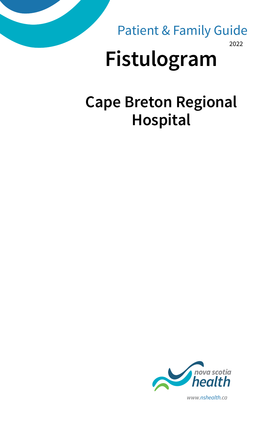

2022 Patient & Family Guide

# **Fistulogram**

### **Cape Breton Regional Hospital**



*www.nshealth.ca*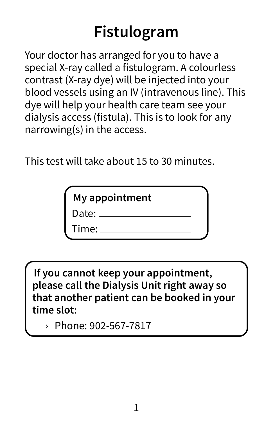## **Fistulogram**

Your doctor has arranged for you to have a special X-ray called a fistulogram. A colourless contrast (X-ray dye) will be injected into your blood vessels using an IV (intravenous line). This dye will help your health care team see your dialysis access (fistula). This is to look for any narrowing(s) in the access.

This test will take about 15 to 30 minutes.

| My appointment |  |
|----------------|--|
| Date: $\_\_$   |  |
| Time:          |  |

**If you cannot keep your appointment, please call the Dialysis Unit right away so that another patient can be booked in your time slot**:

› Phone: 902-567-7817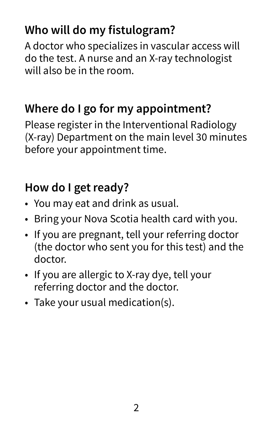#### **Who will do my fistulogram?**

A doctor who specializes in vascular access will do the test. A nurse and an X-ray technologist will also be in the room.

#### **Where do I go for my appointment?**

Please register in the Interventional Radiology (X-ray) Department on the main level 30 minutes before your appointment time.

#### **How do I get ready?**

- You may eat and drink as usual.
- Bring your Nova Scotia health card with you.
- If you are pregnant, tell your referring doctor (the doctor who sent you for this test) and the doctor.
- If you are allergic to X-ray dye, tell your referring doctor and the doctor.
- Take your usual medication(s).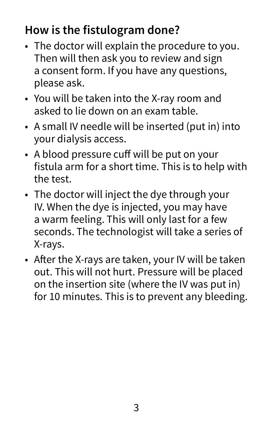#### **How is the fistulogram done?**

- The doctor will explain the procedure to you. Then will then ask you to review and sign a consent form. If you have any questions, please ask.
- You will be taken into the X-ray room and asked to lie down on an exam table.
- A small IV needle will be inserted (put in) into your dialysis access.
- A blood pressure cuff will be put on your fistula arm for a short time. This is to help with the test.
- The doctor will inject the dye through your IV. When the dye is injected, you may have a warm feeling. This will only last for a few seconds. The technologist will take a series of X-rays.
- After the X-rays are taken, your IV will be taken out. This will not hurt. Pressure will be placed on the insertion site (where the IV was put in) for 10 minutes. This is to prevent any bleeding.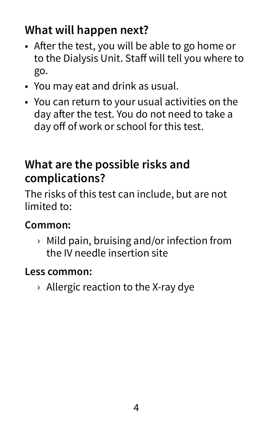### **What will happen next?**

- After the test, you will be able to go home or to the Dialysis Unit. Staff will tell you where to go.
- You may eat and drink as usual.
- You can return to your usual activities on the day after the test. You do not need to take a day off of work or school for this test.

#### **What are the possible risks and complications?**

The risks of this test can include, but are not limited to:

#### **Common:**

› Mild pain, bruising and/or infection from the IV needle insertion site

#### **Less common:**

› Allergic reaction to the X-ray dye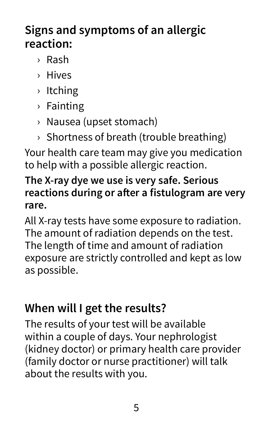#### **Signs and symptoms of an allergic reaction:**

- › Rash
- › Hives
- › Itching
- › Fainting
- › Nausea (upset stomach)
- › Shortness of breath (trouble breathing)

Your health care team may give you medication to help with a possible allergic reaction.

#### **The X-ray dye we use is very safe. Serious reactions during or after a fistulogram are very rare.**

All X-ray tests have some exposure to radiation. The amount of radiation depends on the test. The length of time and amount of radiation exposure are strictly controlled and kept as low as possible.

#### **When will I get the results?**

The results of your test will be available within a couple of days. Your nephrologist (kidney doctor) or primary health care provider (family doctor or nurse practitioner) will talk about the results with you.